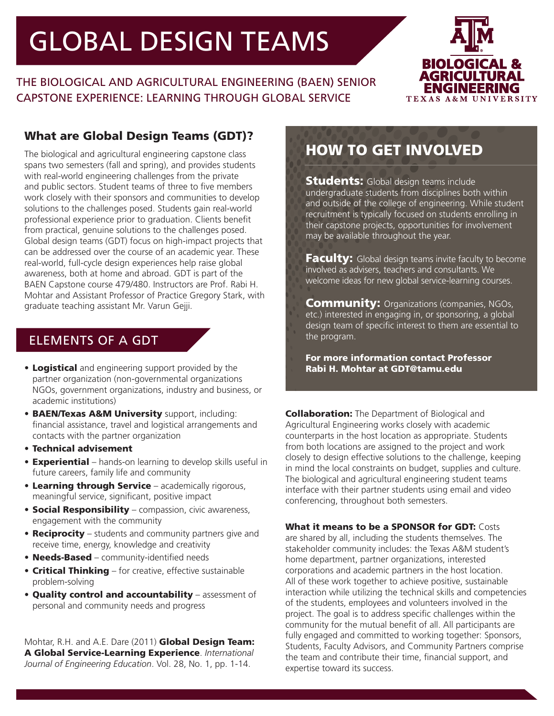# **GLOBAL DESIGN TEAMS**

THE BIOLOGICAL AND AGRICULTURAL ENGINEERING (BAEN) SENIOR CAPSTONE EXPERIENCE: LEARNING THROUGH GLOBAL SERVICE



# What are Global Design Teams (GDT)?

The biological and agricultural engineering capstone class spans two semesters (fall and spring), and provides students with real-world engineering challenges from the private and public sectors. Student teams of three to five members work closely with their sponsors and communities to develop solutions to the challenges posed. Students gain real-world professional experience prior to graduation. Clients benefit from practical, genuine solutions to the challenges posed. Global design teams (GDT) focus on high-impact projects that can be addressed over the course of an academic year. These real-world, full-cycle design experiences help raise global awareness, both at home and abroad. GDT is part of the BAEN Capstone course 479/480. Instructors are Prof. Rabi H. Mohtar and Assistant Professor of Practice Gregory Stark, with graduate teaching assistant Mr. Varun Gejji.

# ELEMENTS OF A GDT

- Logistical and engineering support provided by the partner organization (non-governmental organizations NGOs, government organizations, industry and business, or academic institutions)
- BAEN/Texas A&M University support, including: financial assistance, travel and logistical arrangements and contacts with the partner organization
- Technical advisement
- Experiential hands-on learning to develop skills useful in future careers, family life and community
- Learning through Service academically rigorous, meaningful service, significant, positive impact
- Social Responsibility compassion, civic awareness, engagement with the community
- Reciprocity students and community partners give and receive time, energy, knowledge and creativity
- Needs-Based community-identified needs
- Critical Thinking for creative, effective sustainable problem-solving
- Quality control and accountability assessment of personal and community needs and progress

Mohtar, R.H. and A.E. Dare (2011) Global Design Team: A Global Service-Learning Experience. *International Journal of Engineering Education*. Vol. 28, No. 1, pp. 1-14.

# HOW TO GET INVOLVED

**Students:** Global design teams include undergraduate students from disciplines both within and outside of the college of engineering. While student recruitment is typically focused on students enrolling in their capstone projects, opportunities for involvement may be available throughout the year.

**Faculty:** Global design teams invite faculty to become involved as advisers, teachers and consultants. We welcome ideas for new global service-learning courses.

**Community:** Organizations (companies, NGOs, etc.) interested in engaging in, or sponsoring, a global design team of specific interest to them are essential to the program.

For more information contact Professor Rabi H. Mohtar at GDT@tamu.edu

**Collaboration:** The Department of Biological and Agricultural Engineering works closely with academic counterparts in the host location as appropriate. Students from both locations are assigned to the project and work closely to design effective solutions to the challenge, keeping in mind the local constraints on budget, supplies and culture. The biological and agricultural engineering student teams interface with their partner students using email and video conferencing, throughout both semesters.

### What it means to be a SPONSOR for GDT: Costs

are shared by all, including the students themselves. The stakeholder community includes: the Texas A&M student's home department, partner organizations, interested corporations and academic partners in the host location. All of these work together to achieve positive, sustainable interaction while utilizing the technical skills and competencies of the students, employees and volunteers involved in the project. The goal is to address specific challenges within the community for the mutual benefit of all. All participants are fully engaged and committed to working together: Sponsors, Students, Faculty Advisors, and Community Partners comprise the team and contribute their time, financial support, and expertise toward its success.